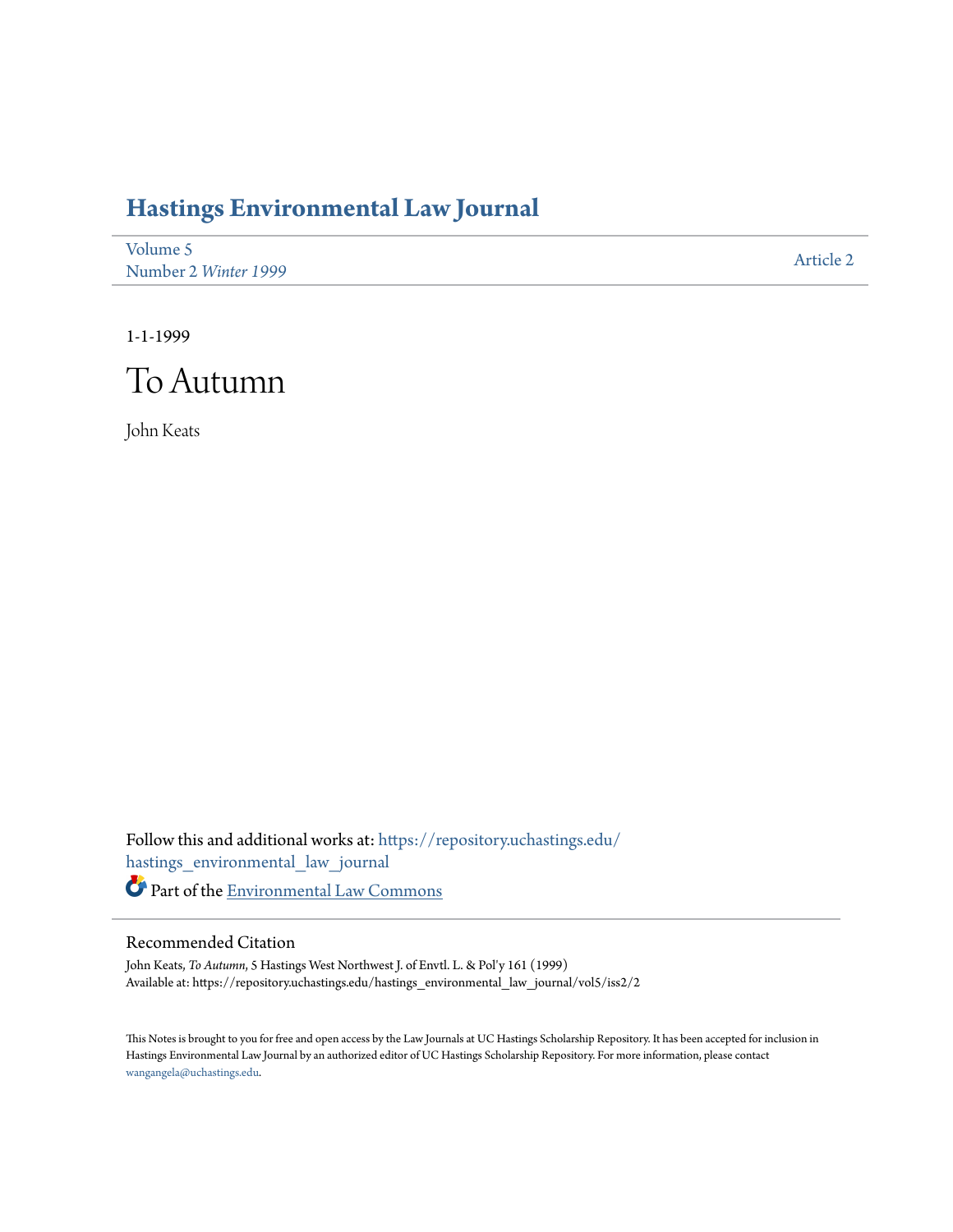## **[Hastings Environmental Law Journal](https://repository.uchastings.edu/hastings_environmental_law_journal?utm_source=repository.uchastings.edu%2Fhastings_environmental_law_journal%2Fvol5%2Fiss2%2F2&utm_medium=PDF&utm_campaign=PDFCoverPages)**

| Volume 5             | Article 2 |
|----------------------|-----------|
| Number 2 Winter 1999 |           |

1-1-1999



John Keats

Follow this and additional works at: [https://repository.uchastings.edu/](https://repository.uchastings.edu/hastings_environmental_law_journal?utm_source=repository.uchastings.edu%2Fhastings_environmental_law_journal%2Fvol5%2Fiss2%2F2&utm_medium=PDF&utm_campaign=PDFCoverPages) [hastings\\_environmental\\_law\\_journal](https://repository.uchastings.edu/hastings_environmental_law_journal?utm_source=repository.uchastings.edu%2Fhastings_environmental_law_journal%2Fvol5%2Fiss2%2F2&utm_medium=PDF&utm_campaign=PDFCoverPages) Part of the [Environmental Law Commons](http://network.bepress.com/hgg/discipline/599?utm_source=repository.uchastings.edu%2Fhastings_environmental_law_journal%2Fvol5%2Fiss2%2F2&utm_medium=PDF&utm_campaign=PDFCoverPages)

## Recommended Citation

John Keats, *To Autumn*, 5 Hastings West Northwest J. of Envtl. L. & Pol'y 161 (1999) Available at: https://repository.uchastings.edu/hastings\_environmental\_law\_journal/vol5/iss2/2

This Notes is brought to you for free and open access by the Law Journals at UC Hastings Scholarship Repository. It has been accepted for inclusion in Hastings Environmental Law Journal by an authorized editor of UC Hastings Scholarship Repository. For more information, please contact [wangangela@uchastings.edu](mailto:wangangela@uchastings.edu).